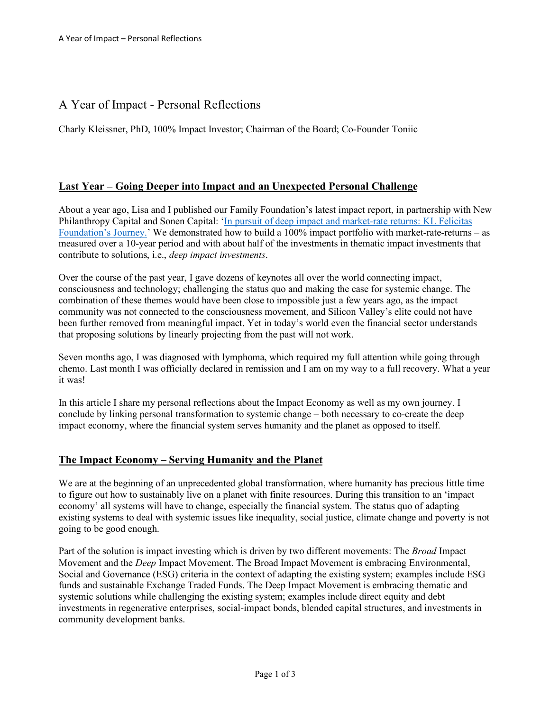# A Year of Impact - Personal Reflections

Charly Kleissner, PhD, 100% Impact Investor; Chairman of the Board; Co-Founder Toniic

## **Last Year – Going Deeper into Impact and an Unexpected Personal Challenge**

About a year ago, Lisa and I published our Family Foundation's latest impact report, in partnership with New Philanthropy Capital and Sonen Capital: 'In pursuit of deep impact and market-rate returns: KL Felicitas Foundation's Journey.' We demonstrated how to build a 100% impact portfolio with market-rate-returns – as measured over a 10-year period and with about half of the investments in thematic impact investments that contribute to solutions, i.e., *deep impact investments*.

Over the course of the past year, I gave dozens of keynotes all over the world connecting impact, consciousness and technology; challenging the status quo and making the case for systemic change. The combination of these themes would have been close to impossible just a few years ago, as the impact community was not connected to the consciousness movement, and Silicon Valley's elite could not have been further removed from meaningful impact. Yet in today's world even the financial sector understands that proposing solutions by linearly projecting from the past will not work.

Seven months ago, I was diagnosed with lymphoma, which required my full attention while going through chemo. Last month I was officially declared in remission and I am on my way to a full recovery. What a year it was!

In this article I share my personal reflections about the Impact Economy as well as my own journey. I conclude by linking personal transformation to systemic change – both necessary to co-create the deep impact economy, where the financial system serves humanity and the planet as opposed to itself.

## **The Impact Economy – Serving Humanity and the Planet**

We are at the beginning of an unprecedented global transformation, where humanity has precious little time to figure out how to sustainably live on a planet with finite resources. During this transition to an 'impact economy' all systems will have to change, especially the financial system. The status quo of adapting existing systems to deal with systemic issues like inequality, social justice, climate change and poverty is not going to be good enough.

Part of the solution is impact investing which is driven by two different movements: The *Broad* Impact Movement and the *Deep* Impact Movement. The Broad Impact Movement is embracing Environmental, Social and Governance (ESG) criteria in the context of adapting the existing system; examples include ESG funds and sustainable Exchange Traded Funds. The Deep Impact Movement is embracing thematic and systemic solutions while challenging the existing system; examples include direct equity and debt investments in regenerative enterprises, social-impact bonds, blended capital structures, and investments in community development banks.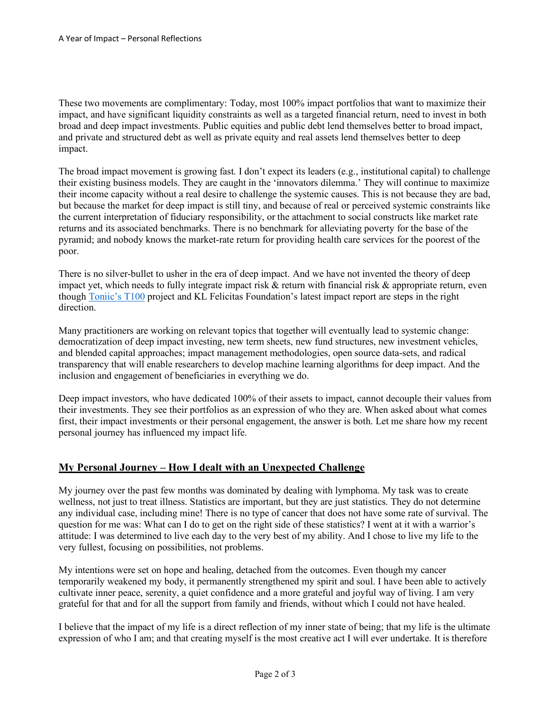These two movements are complimentary: Today, most 100% impact portfolios that want to maximize their impact, and have significant liquidity constraints as well as a targeted financial return, need to invest in both broad and deep impact investments. Public equities and public debt lend themselves better to broad impact, and private and structured debt as well as private equity and real assets lend themselves better to deep impact.

The broad impact movement is growing fast. I don't expect its leaders (e.g., institutional capital) to challenge their existing business models. They are caught in the 'innovators dilemma.' They will continue to maximize their income capacity without a real desire to challenge the systemic causes. This is not because they are bad, but because the market for deep impact is still tiny, and because of real or perceived systemic constraints like the current interpretation of fiduciary responsibility, or the attachment to social constructs like market rate returns and its associated benchmarks. There is no benchmark for alleviating poverty for the base of the pyramid; and nobody knows the market-rate return for providing health care services for the poorest of the poor.

There is no silver-bullet to usher in the era of deep impact. And we have not invented the theory of deep impact yet, which needs to fully integrate impact risk  $\&$  return with financial risk  $\&$  appropriate return, even though Toniic's T100 project and KL Felicitas Foundation's latest impact report are steps in the right direction.

Many practitioners are working on relevant topics that together will eventually lead to systemic change: democratization of deep impact investing, new term sheets, new fund structures, new investment vehicles, and blended capital approaches; impact management methodologies, open source data-sets, and radical transparency that will enable researchers to develop machine learning algorithms for deep impact. And the inclusion and engagement of beneficiaries in everything we do.

Deep impact investors, who have dedicated 100% of their assets to impact, cannot decouple their values from their investments. They see their portfolios as an expression of who they are. When asked about what comes first, their impact investments or their personal engagement, the answer is both. Let me share how my recent personal journey has influenced my impact life.

## **My Personal Journey – How I dealt with an Unexpected Challenge**

My journey over the past few months was dominated by dealing with lymphoma. My task was to create wellness, not just to treat illness. Statistics are important, but they are just statistics. They do not determine any individual case, including mine! There is no type of cancer that does not have some rate of survival. The question for me was: What can I do to get on the right side of these statistics? I went at it with a warrior's attitude: I was determined to live each day to the very best of my ability. And I chose to live my life to the very fullest, focusing on possibilities, not problems.

My intentions were set on hope and healing, detached from the outcomes. Even though my cancer temporarily weakened my body, it permanently strengthened my spirit and soul. I have been able to actively cultivate inner peace, serenity, a quiet confidence and a more grateful and joyful way of living. I am very grateful for that and for all the support from family and friends, without which I could not have healed.

I believe that the impact of my life is a direct reflection of my inner state of being; that my life is the ultimate expression of who I am; and that creating myself is the most creative act I will ever undertake. It is therefore